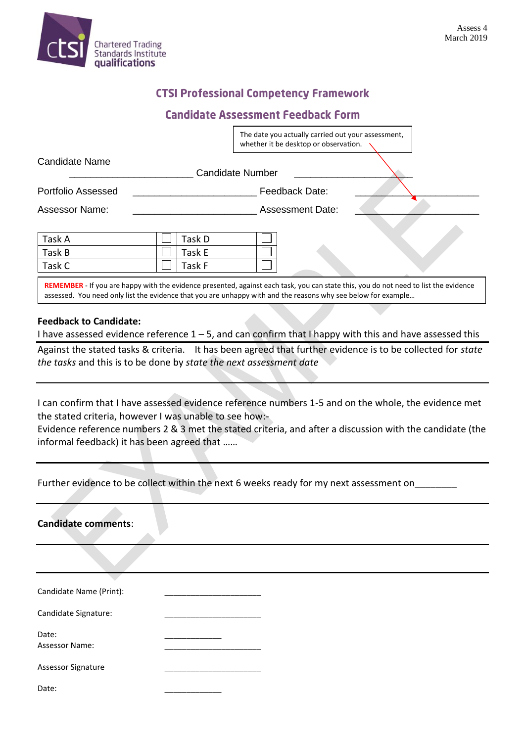

## **CTSI Professional Competency Framework**

## **Candidate Assessment Feedback Form**

|                           | The date you actually carried out your assessment,<br>whether it be desktop or observation. |
|---------------------------|---------------------------------------------------------------------------------------------|
| Candidate Name            | <b>Candidate Number</b>                                                                     |
| <b>Portfolio Assessed</b> | Feedback Date:                                                                              |
| <b>Assessor Name:</b>     | <b>Assessment Date:</b>                                                                     |
|                           |                                                                                             |
| Task A                    | Task D                                                                                      |
| Task B                    | Task E                                                                                      |
| Task C                    | Task F                                                                                      |

**REMEMBER** - If you are happy with the evidence presented, against each task, you can state this, you do not need to list the evidence assessed. You need only list the evidence that you are unhappy with and the reasons why see below for example…

## **Feedback to Candidate:**

I have assessed evidence reference  $1 - 5$ , and can confirm that I happy with this and have assessed this

Against the stated tasks & criteria. It has been agreed that further evidence is to be collected for *state the tasks* and this is to be done by *state the next assessment date*

I can confirm that I have assessed evidence reference numbers 1-5 and on the whole, the evidence met the stated criteria, however I was unable to see how:-

Evidence reference numbers 2 & 3 met the stated criteria, and after a discussion with the candidate (the informal feedback) it has been agreed that ……

|  | Further evidence to be collect within the next 6 weeks ready for my next assessment on |  |
|--|----------------------------------------------------------------------------------------|--|
|  |                                                                                        |  |

| <b>Candidate comments:</b> |  |  |
|----------------------------|--|--|
|                            |  |  |
|                            |  |  |
| Candidate Name (Print):    |  |  |
| Candidate Signature:       |  |  |
| Date:                      |  |  |
| Assessor Name:             |  |  |
| Assessor Signature         |  |  |
| Date:                      |  |  |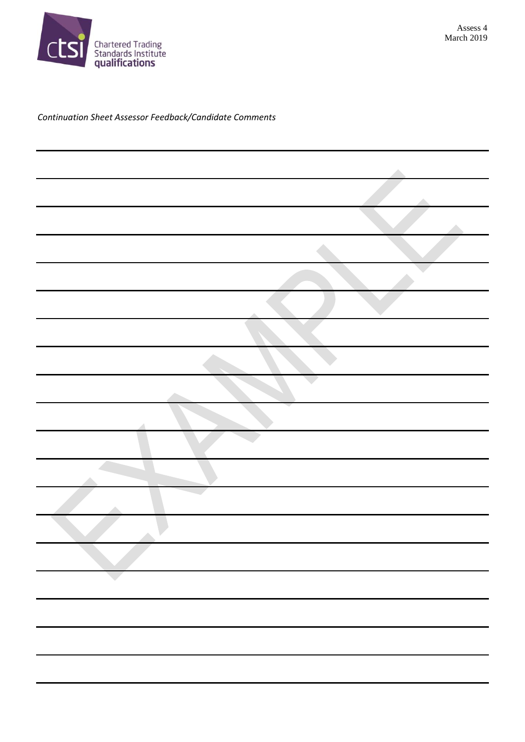

## *Continuation Sheet Assessor Feedback/Candidate Comments*